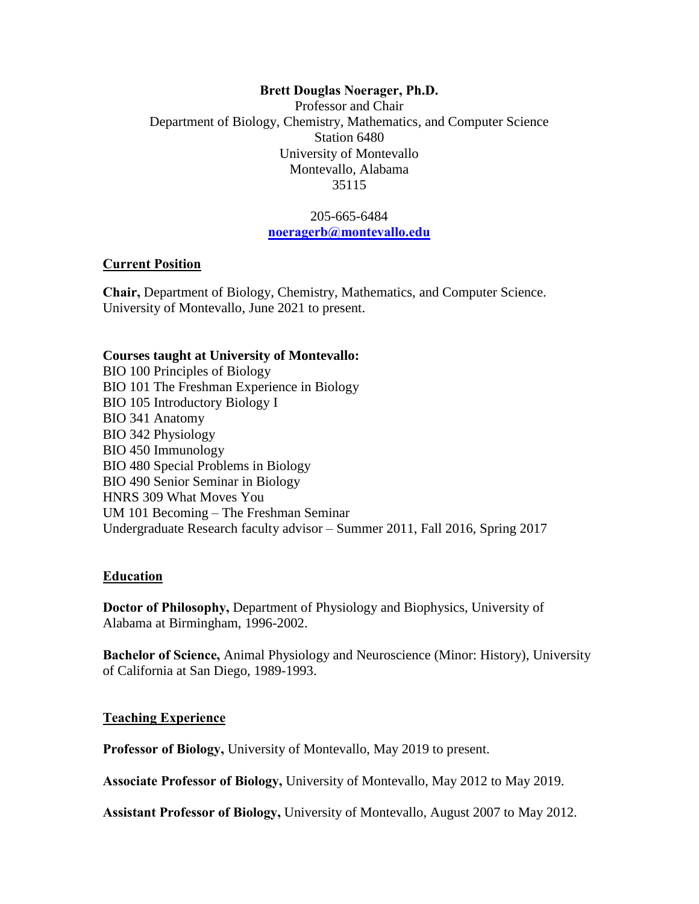### **Brett Douglas Noerager, Ph.D.**

Professor and Chair Department of Biology, Chemistry, Mathematics, and Computer Science Station 6480 University of Montevallo Montevallo, Alabama 35115

> 205-665-6484 **[noeragerb@montevallo.edu](mailto:noerager@physiology.uab.edu)**

#### **Current Position**

**Chair,** Department of Biology, Chemistry, Mathematics, and Computer Science. University of Montevallo, June 2021 to present.

#### **Courses taught at University of Montevallo:**

BIO 100 Principles of Biology BIO 101 The Freshman Experience in Biology BIO 105 Introductory Biology I BIO 341 Anatomy BIO 342 Physiology BIO 450 Immunology BIO 480 Special Problems in Biology BIO 490 Senior Seminar in Biology HNRS 309 What Moves You UM 101 Becoming – The Freshman Seminar Undergraduate Research faculty advisor – Summer 2011, Fall 2016, Spring 2017

### **Education**

**Doctor of Philosophy,** Department of Physiology and Biophysics, University of Alabama at Birmingham, 1996-2002.

**Bachelor of Science,** Animal Physiology and Neuroscience (Minor: History), University of California at San Diego, 1989-1993.

### **Teaching Experience**

**Professor of Biology,** University of Montevallo, May 2019 to present.

**Associate Professor of Biology,** University of Montevallo, May 2012 to May 2019.

**Assistant Professor of Biology,** University of Montevallo, August 2007 to May 2012.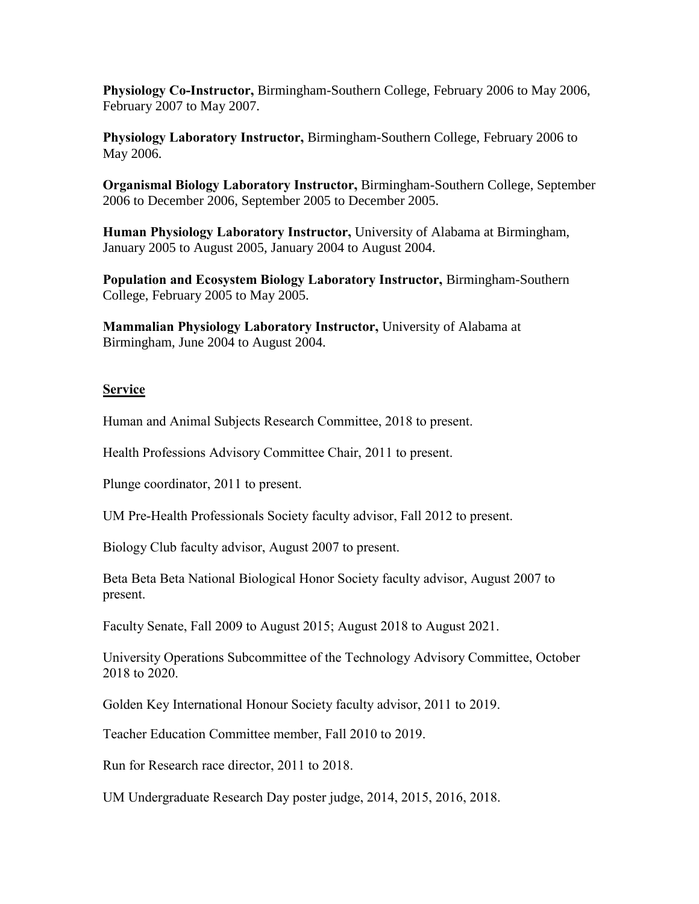**Physiology Co-Instructor,** Birmingham-Southern College, February 2006 to May 2006, February 2007 to May 2007.

**Physiology Laboratory Instructor,** Birmingham-Southern College, February 2006 to May 2006.

**Organismal Biology Laboratory Instructor,** Birmingham-Southern College, September 2006 to December 2006, September 2005 to December 2005.

**Human Physiology Laboratory Instructor,** University of Alabama at Birmingham, January 2005 to August 2005, January 2004 to August 2004.

**Population and Ecosystem Biology Laboratory Instructor,** Birmingham-Southern College, February 2005 to May 2005.

**Mammalian Physiology Laboratory Instructor,** University of Alabama at Birmingham, June 2004 to August 2004.

### **Service**

Human and Animal Subjects Research Committee, 2018 to present.

Health Professions Advisory Committee Chair, 2011 to present.

Plunge coordinator, 2011 to present.

UM Pre-Health Professionals Society faculty advisor, Fall 2012 to present.

Biology Club faculty advisor, August 2007 to present.

Beta Beta Beta National Biological Honor Society faculty advisor, August 2007 to present.

Faculty Senate, Fall 2009 to August 2015; August 2018 to August 2021.

University Operations Subcommittee of the Technology Advisory Committee, October 2018 to 2020.

Golden Key International Honour Society faculty advisor, 2011 to 2019.

Teacher Education Committee member, Fall 2010 to 2019.

Run for Research race director, 2011 to 2018.

UM Undergraduate Research Day poster judge, 2014, 2015, 2016, 2018.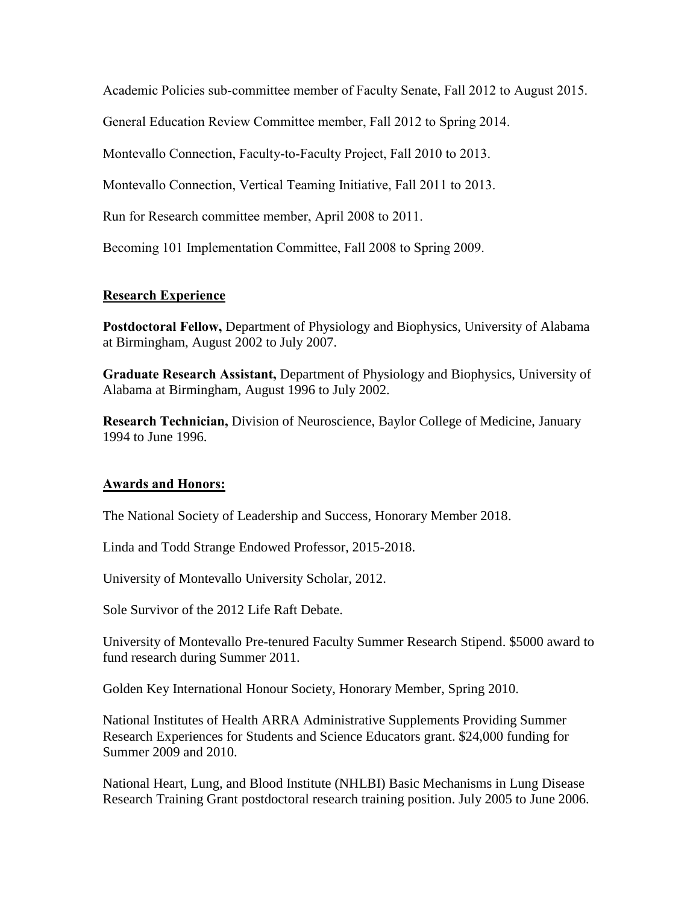Academic Policies sub-committee member of Faculty Senate, Fall 2012 to August 2015.

General Education Review Committee member, Fall 2012 to Spring 2014.

Montevallo Connection, Faculty-to-Faculty Project, Fall 2010 to 2013.

Montevallo Connection, Vertical Teaming Initiative, Fall 2011 to 2013.

Run for Research committee member, April 2008 to 2011.

Becoming 101 Implementation Committee, Fall 2008 to Spring 2009.

# **Research Experience**

**Postdoctoral Fellow,** Department of Physiology and Biophysics, University of Alabama at Birmingham, August 2002 to July 2007.

**Graduate Research Assistant,** Department of Physiology and Biophysics, University of Alabama at Birmingham, August 1996 to July 2002.

**Research Technician,** Division of Neuroscience, Baylor College of Medicine, January 1994 to June 1996.

# **Awards and Honors:**

The National Society of Leadership and Success, Honorary Member 2018.

Linda and Todd Strange Endowed Professor, 2015-2018.

University of Montevallo University Scholar, 2012.

Sole Survivor of the 2012 Life Raft Debate.

University of Montevallo Pre-tenured Faculty Summer Research Stipend. \$5000 award to fund research during Summer 2011.

Golden Key International Honour Society, Honorary Member, Spring 2010.

National Institutes of Health ARRA Administrative Supplements Providing Summer Research Experiences for Students and Science Educators grant. \$24,000 funding for Summer 2009 and 2010.

National Heart, Lung, and Blood Institute (NHLBI) Basic Mechanisms in Lung Disease Research Training Grant postdoctoral research training position. July 2005 to June 2006.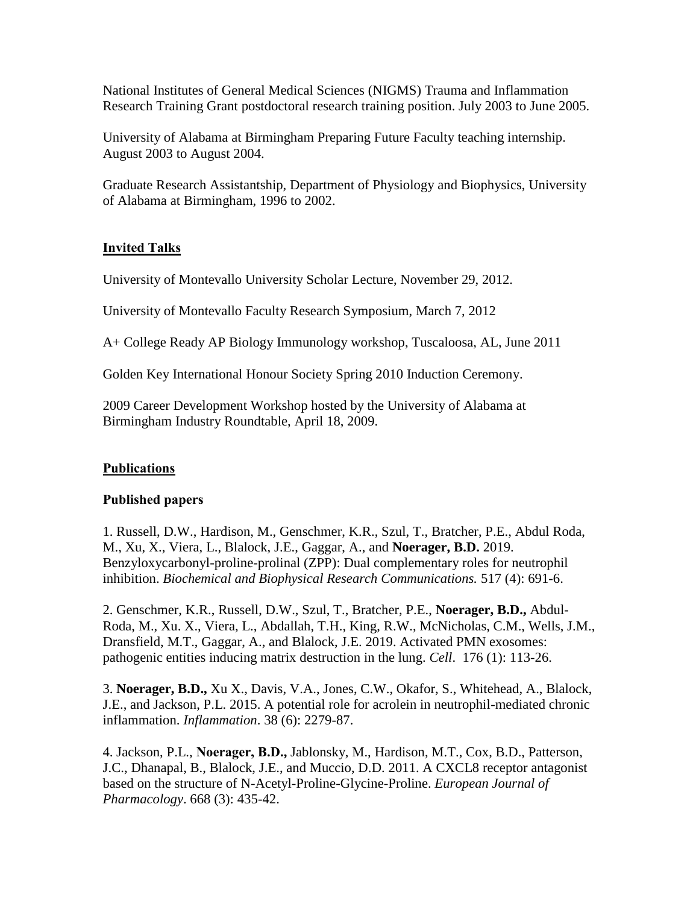National Institutes of General Medical Sciences (NIGMS) Trauma and Inflammation Research Training Grant postdoctoral research training position. July 2003 to June 2005.

University of Alabama at Birmingham Preparing Future Faculty teaching internship. August 2003 to August 2004.

Graduate Research Assistantship, Department of Physiology and Biophysics, University of Alabama at Birmingham, 1996 to 2002.

## **Invited Talks**

University of Montevallo University Scholar Lecture, November 29, 2012.

University of Montevallo Faculty Research Symposium, March 7, 2012

A+ College Ready AP Biology Immunology workshop, Tuscaloosa, AL, June 2011

Golden Key International Honour Society Spring 2010 Induction Ceremony.

2009 Career Development Workshop hosted by the University of Alabama at Birmingham Industry Roundtable, April 18, 2009.

### **Publications**

### **Published papers**

1. Russell, D.W., Hardison, M., Genschmer, K.R., Szul, T., Bratcher, P.E., Abdul Roda, M., Xu, X., Viera, L., Blalock, J.E., Gaggar, A., and **Noerager, B.D.** 2019. Benzyloxycarbonyl-proline-prolinal (ZPP): Dual complementary roles for neutrophil inhibition. *Biochemical and Biophysical Research Communications.* 517 (4): 691-6.

2. Genschmer, K.R., Russell, D.W., Szul, T., Bratcher, P.E., **Noerager, B.D.,** Abdul-Roda, M., Xu. X., Viera, L., Abdallah, T.H., King, R.W., McNicholas, C.M., Wells, J.M., Dransfield, M.T., Gaggar, A., and Blalock, J.E. 2019. Activated PMN exosomes: pathogenic entities inducing matrix destruction in the lung. *Cell*. 176 (1): 113-26.

3. **Noerager, B.D.,** Xu X., Davis, V.A., Jones, C.W., Okafor, S., Whitehead, A., Blalock, J.E., and Jackson, P.L. 2015. A potential role for acrolein in neutrophil-mediated chronic inflammation. *Inflammation*. 38 (6): 2279-87.

4. Jackson, P.L., **Noerager, B.D.,** Jablonsky, M., Hardison, M.T., Cox, B.D., Patterson, J.C., Dhanapal, B., Blalock, J.E., and Muccio, D.D. 2011. A CXCL8 receptor antagonist based on the structure of N-Acetyl-Proline-Glycine-Proline. *European Journal of Pharmacology*. 668 (3): 435-42.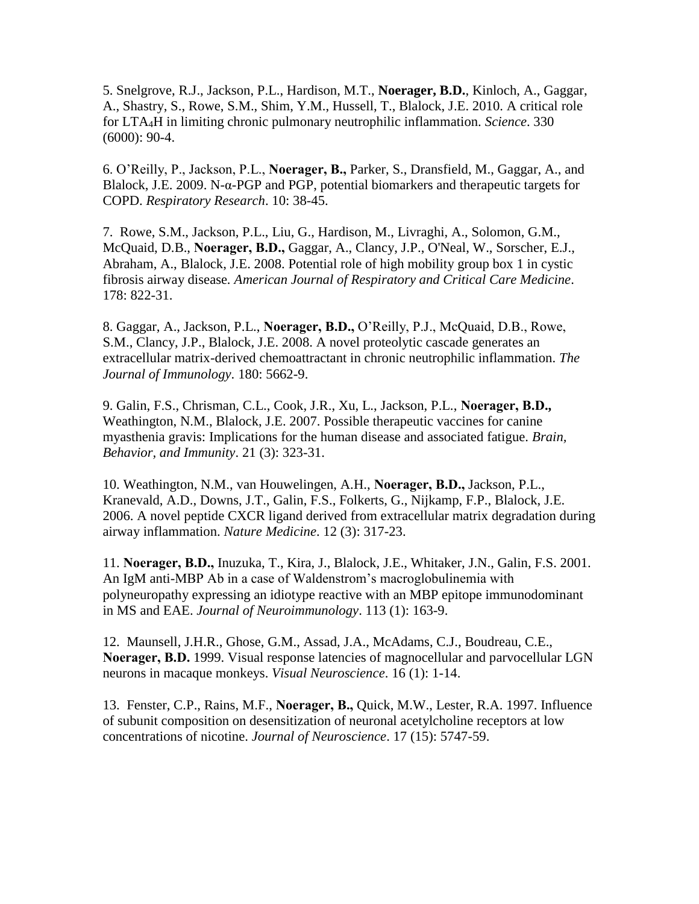5. Snelgrove, R.J., Jackson, P.L., Hardison, M.T., **Noerager, B.D.**, Kinloch, A., Gaggar, A., Shastry, S., Rowe, S.M., Shim, Y.M., Hussell, T., Blalock, J.E. 2010. A critical role for LTA4H in limiting chronic pulmonary neutrophilic inflammation. *Science*. 330 (6000): 90-4.

6. O'Reilly, P., Jackson, P.L., **Noerager, B.,** Parker, S., Dransfield, M., Gaggar, A., and Blalock, J.E. 2009. N-α-PGP and PGP, potential biomarkers and therapeutic targets for COPD. *Respiratory Research*. 10: 38-45.

7. Rowe, S.M., Jackson, P.L., Liu, G., Hardison, M., Livraghi, A., Solomon, G.M., McQuaid, D.B., **Noerager, B.D.,** Gaggar, A., Clancy, J.P., O'Neal, W., Sorscher, E.J., Abraham, A., Blalock, J.E. 2008. Potential role of high mobility group box 1 in cystic fibrosis airway disease*. American Journal of Respiratory and Critical Care Medicine*. 178: 822-31.

8. Gaggar, A., Jackson, P.L., **Noerager, B.D.,** O'Reilly, P.J., McQuaid, D.B., Rowe, S.M., Clancy, J.P., Blalock, J.E. 2008. A novel proteolytic cascade generates an extracellular matrix-derived chemoattractant in chronic neutrophilic inflammation. *The Journal of Immunology*. 180: 5662-9.

9. Galin, F.S., Chrisman, C.L., Cook, J.R., Xu, L., Jackson, P.L., **Noerager, B.D.,** Weathington, N.M., Blalock, J.E. 2007. Possible therapeutic vaccines for canine myasthenia gravis: Implications for the human disease and associated fatigue. *Brain, Behavior, and Immunity*. 21 (3): 323-31.

10. Weathington, N.M., van Houwelingen, A.H., **Noerager, B.D.,** Jackson, P.L., Kranevald, A.D., Downs, J.T., Galin, F.S., Folkerts, G., Nijkamp, F.P., Blalock, J.E. 2006. A novel peptide CXCR ligand derived from extracellular matrix degradation during airway inflammation. *Nature Medicine*. 12 (3): 317-23.

11. **Noerager, B.D.,** Inuzuka, T., Kira, J., Blalock, J.E., Whitaker, J.N., Galin, F.S. 2001. An IgM anti-MBP Ab in a case of Waldenstrom's macroglobulinemia with polyneuropathy expressing an idiotype reactive with an MBP epitope immunodominant in MS and EAE. *Journal of Neuroimmunology*. 113 (1): 163-9.

12. Maunsell, J.H.R., Ghose, G.M., Assad, J.A., McAdams, C.J., Boudreau, C.E., **Noerager, B.D.** 1999. Visual response latencies of magnocellular and parvocellular LGN neurons in macaque monkeys. *Visual Neuroscience*. 16 (1): 1-14.

13. Fenster, C.P., Rains, M.F., **Noerager, B.,** Quick, M.W., Lester, R.A. 1997. Influence of subunit composition on desensitization of neuronal acetylcholine receptors at low concentrations of nicotine. *Journal of Neuroscience*. 17 (15): 5747-59.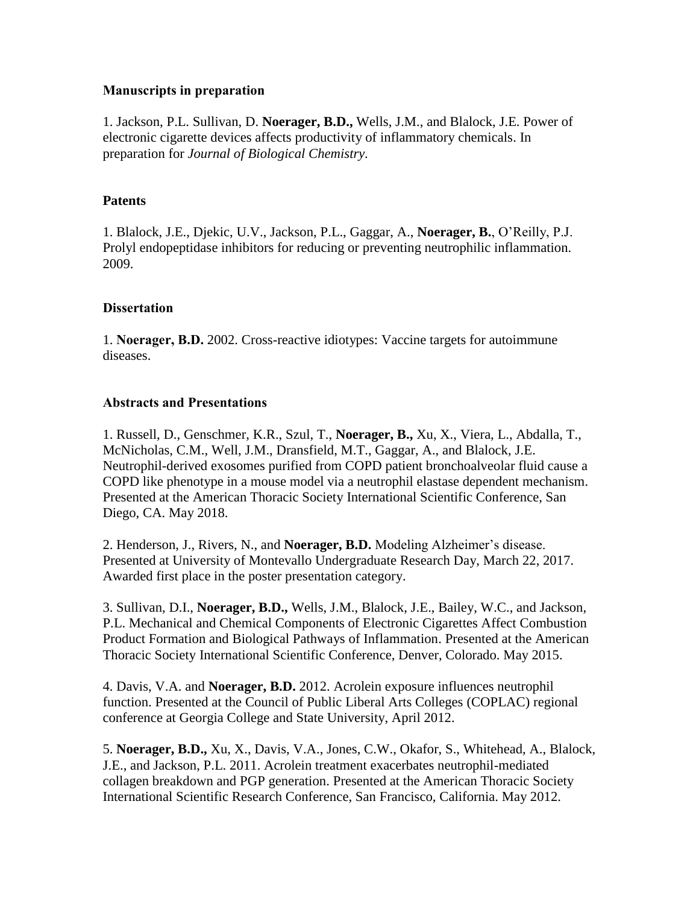### **Manuscripts in preparation**

1. Jackson, P.L. Sullivan, D. **Noerager, B.D.,** Wells, J.M., and Blalock, J.E. Power of electronic cigarette devices affects productivity of inflammatory chemicals. In preparation for *Journal of Biological Chemistry.*

# **Patents**

1. Blalock, J.E., Djekic, U.V., Jackson, P.L., Gaggar, A., **Noerager, B.**, O'Reilly, P.J. Prolyl endopeptidase inhibitors for reducing or preventing neutrophilic inflammation. 2009.

## **Dissertation**

1. **Noerager, B.D.** 2002. Cross-reactive idiotypes: Vaccine targets for autoimmune diseases.

### **Abstracts and Presentations**

1. Russell, D., Genschmer, K.R., Szul, T., **Noerager, B.,** Xu, X., Viera, L., Abdalla, T., McNicholas, C.M., Well, J.M., Dransfield, M.T., Gaggar, A., and Blalock, J.E. Neutrophil-derived exosomes purified from COPD patient bronchoalveolar fluid cause a COPD like phenotype in a mouse model via a neutrophil elastase dependent mechanism. Presented at the American Thoracic Society International Scientific Conference, San Diego, CA. May 2018.

2. Henderson, J., Rivers, N., and **Noerager, B.D.** Modeling Alzheimer's disease. Presented at University of Montevallo Undergraduate Research Day, March 22, 2017. Awarded first place in the poster presentation category.

3. Sullivan, D.I., **Noerager, B.D.,** Wells, J.M., Blalock, J.E., Bailey, W.C., and Jackson, P.L. Mechanical and Chemical Components of Electronic Cigarettes Affect Combustion Product Formation and Biological Pathways of Inflammation. Presented at the American Thoracic Society International Scientific Conference, Denver, Colorado. May 2015.

4. Davis, V.A. and **Noerager, B.D.** 2012. Acrolein exposure influences neutrophil function. Presented at the Council of Public Liberal Arts Colleges (COPLAC) regional conference at Georgia College and State University, April 2012.

5. **Noerager, B.D.,** Xu, X., Davis, V.A., Jones, C.W., Okafor, S., Whitehead, A., Blalock, J.E., and Jackson, P.L. 2011. Acrolein treatment exacerbates neutrophil-mediated collagen breakdown and PGP generation. Presented at the American Thoracic Society International Scientific Research Conference, San Francisco, California. May 2012.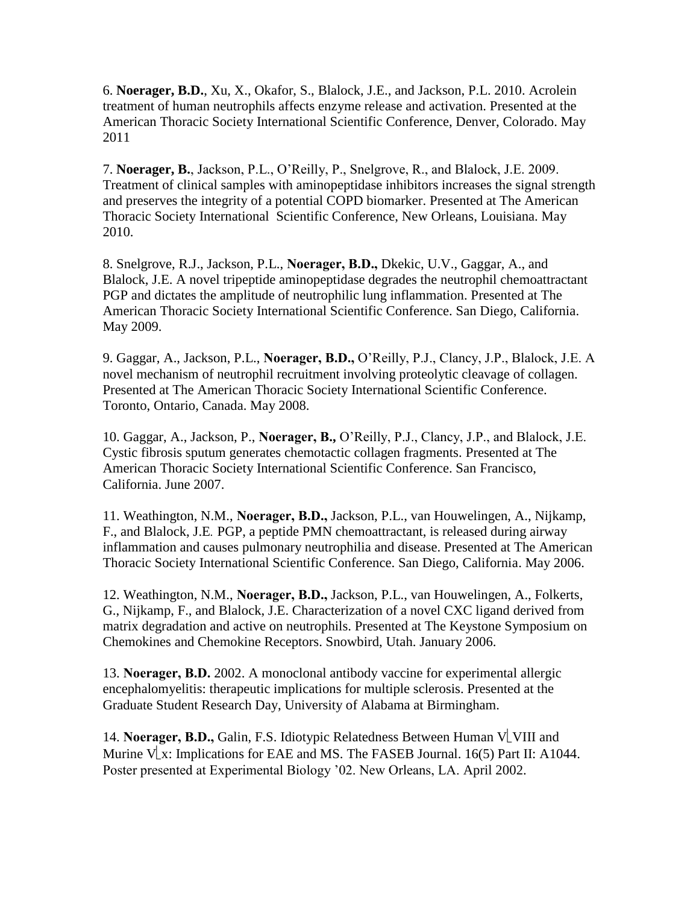6. **Noerager, B.D.**, Xu, X., Okafor, S., Blalock, J.E., and Jackson, P.L. 2010. Acrolein treatment of human neutrophils affects enzyme release and activation. Presented at the American Thoracic Society International Scientific Conference, Denver, Colorado. May 2011

7. **Noerager, B.**, Jackson, P.L., O'Reilly, P., Snelgrove, R., and Blalock, J.E. 2009. Treatment of clinical samples with aminopeptidase inhibitors increases the signal strength and preserves the integrity of a potential COPD biomarker. Presented at The American Thoracic Society International Scientific Conference, New Orleans, Louisiana. May 2010.

8. Snelgrove, R.J., Jackson, P.L., **Noerager, B.D.,** Dkekic, U.V., Gaggar, A., and Blalock, J.E. A novel tripeptide aminopeptidase degrades the neutrophil chemoattractant PGP and dictates the amplitude of neutrophilic lung inflammation. Presented at The American Thoracic Society International Scientific Conference. San Diego, California. May 2009.

9. Gaggar, A., Jackson, P.L., **Noerager, B.D.,** O'Reilly, P.J., Clancy, J.P., Blalock, J.E. A novel mechanism of neutrophil recruitment involving proteolytic cleavage of collagen. Presented at The American Thoracic Society International Scientific Conference. Toronto, Ontario, Canada. May 2008.

10. Gaggar, A., Jackson, P., **Noerager, B.,** O'Reilly, P.J., Clancy, J.P., and Blalock, J.E. Cystic fibrosis sputum generates chemotactic collagen fragments. Presented at The American Thoracic Society International Scientific Conference. San Francisco, California. June 2007.

11. Weathington, N.M., **Noerager, B.D.,** Jackson, P.L., van Houwelingen, A., Nijkamp, F., and Blalock, J.E*.* PGP, a peptide PMN chemoattractant, is released during airway inflammation and causes pulmonary neutrophilia and disease. Presented at The American Thoracic Society International Scientific Conference. San Diego, California. May 2006.

12. Weathington, N.M., **Noerager, B.D.,** Jackson, P.L., van Houwelingen, A., Folkerts, G., Nijkamp, F., and Blalock, J.E. Characterization of a novel CXC ligand derived from matrix degradation and active on neutrophils. Presented at The Keystone Symposium on Chemokines and Chemokine Receptors. Snowbird, Utah. January 2006.

13. **Noerager, B.D.** 2002. A monoclonal antibody vaccine for experimental allergic encephalomyelitis: therapeutic implications for multiple sclerosis. Presented at the Graduate Student Research Day, University of Alabama at Birmingham.

14. **Noerager, B.D.,** Galin, F.S. Idiotypic Relatedness Between Human  $V$  VIII and Murine V $\lfloor x$ : Implications for EAE and MS. The FASEB Journal. 16(5) Part II: A1044. Poster presented at Experimental Biology '02. New Orleans, LA. April 2002.